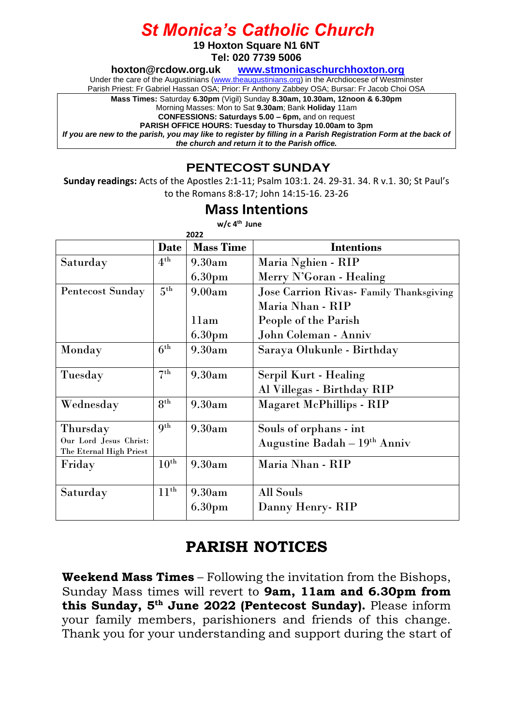# *St Monica's Catholic Church*

**19 Hoxton Square N1 6NT**

**Tel: 020 7739 5006** 

**[hoxton@rcdow.org.uk](mailto:hoxton@rcdow.org.uk) [www.stmonicaschurchhoxton.org](http://www.stmonicaschurchhoxton.org/)**

Under the care of the Augustinians [\(www.theaugustinians.org\)](http://www.theaugustinians.org/) in the Archdiocese of Westminster

Parish Priest: Fr Gabriel Hassan OSA; Prior: Fr Anthony Zabbey OSA; Bursar: Fr Jacob Choi OSA

**Mass Times:** Saturday **6.30pm** (Vigil) Sunday **8.30am, 10.30am, 12noon & 6.30pm**

Morning Masses: Mon to Sat **9.30am**; Bank **Holiday** 11am

**CONFESSIONS: Saturdays 5.00 – 6pm,** and on request

**PARISH OFFICE HOURS: Tuesday to Thursday 10.00am to 3pm** *If you are new to the parish, you may like to register by filling in a Parish Registration Form at the back of the church and return it to the Parish office.*

### **PENTECOST SUNDAY**

**Sunday readings:** Acts of the Apostles 2:1-11; Psalm 103:1. 24. 29-31. 34. R v.1. 30; St Paul's to the Romans 8:8-17; John 14:15-16. 23-26

#### **Mass Intentions**

| $w/c$ 4 <sup>th</sup> June |  |  |  |
|----------------------------|--|--|--|
|----------------------------|--|--|--|

| 2022                                              |                  |                    |                                         |  |
|---------------------------------------------------|------------------|--------------------|-----------------------------------------|--|
|                                                   | <b>Date</b>      | <b>Mass Time</b>   | <b>Intentions</b>                       |  |
| Saturday                                          | 4 <sup>th</sup>  | 9.30am             | Maria Nghien - RIP                      |  |
|                                                   |                  | 6.30 <sub>pm</sub> | Merry N'Goran - Healing                 |  |
| <b>Pentecost Sunday</b>                           | 5 <sup>th</sup>  | 9.00am             | Jose Carrion Rivas- Family Thanksgiving |  |
|                                                   |                  |                    | Maria Nhan - RIP                        |  |
|                                                   |                  | 11am               | People of the Parish                    |  |
|                                                   |                  | 6.30 <sub>pm</sub> | John Coleman - Anniv                    |  |
| Monday                                            | $6^{th}$         | 9.30am             | Saraya Olukunle - Birthday              |  |
| Tuesday                                           | 7 <sup>th</sup>  | 9.30am             | Serpil Kurt - Healing                   |  |
|                                                   |                  |                    | Al Villegas - Birthday RIP              |  |
| Wednesday                                         | 8 <sup>th</sup>  | 9.30am             | <b>Magaret McPhillips - RIP</b>         |  |
| Thursday                                          | 9 <sup>th</sup>  | 9.30am             | Souls of orphans - int                  |  |
| Our Lord Jesus Christ:<br>The Eternal High Priest |                  |                    | Augustine Badah - 19th Anniv            |  |
| Friday                                            | $10^{\rm th}$    | 9.30am             | Maria Nhan - RIP                        |  |
| Saturday                                          | $11^{\text{th}}$ | 9.30am             | <b>All Souls</b>                        |  |
|                                                   |                  | 6.30 <sub>pm</sub> | Danny Henry - RIP                       |  |
|                                                   |                  |                    |                                         |  |

### **PARISH NOTICES**

**Weekend Mass Times** – Following the invitation from the Bishops, Sunday Mass times will revert to **9am, 11am and 6.30pm from this Sunday, 5th June 2022 (Pentecost Sunday).** Please inform your family members, parishioners and friends of this change. Thank you for your understanding and support during the start of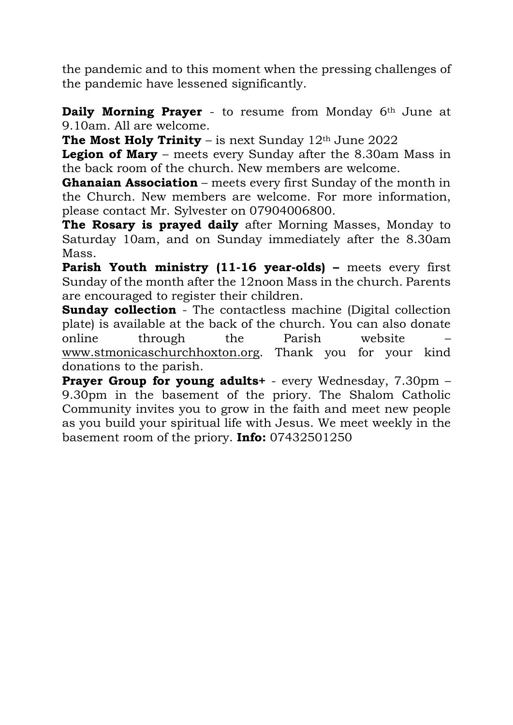the pandemic and to this moment when the pressing challenges of the pandemic have lessened significantly.

**Daily Morning Prayer** - to resume from Monday 6th June at 9.10am. All are welcome.

**The Most Holy Trinity** – is next Sunday  $12<sup>th</sup>$  June 2022

**Legion of Mary** – meets every Sunday after the 8.30am Mass in the back room of the church. New members are welcome.

**Ghanaian Association** – meets every first Sunday of the month in the Church. New members are welcome. For more information, please contact Mr. Sylvester on 07904006800.

**The Rosary is prayed daily** after Morning Masses, Monday to Saturday 10am, and on Sunday immediately after the 8.30am Mass.

**Parish Youth ministry (11-16 year-olds) –** meets every first Sunday of the month after the 12noon Mass in the church. Parents are encouraged to register their children.

**Sunday collection** - The contactless machine (Digital collection plate) is available at the back of the church. You can also donate online through the Parish website – [www.stmonicaschurchhoxton.org.](http://www.stmonicaschurchhoxton.org/) Thank you for your kind donations to the parish.

**Prayer Group for young adults+** - every Wednesday, 7.30pm – 9.30pm in the basement of the priory. The Shalom Catholic Community invites you to grow in the faith and meet new people as you build your spiritual life with Jesus. We meet weekly in the basement room of the priory. **Info:** 07432501250